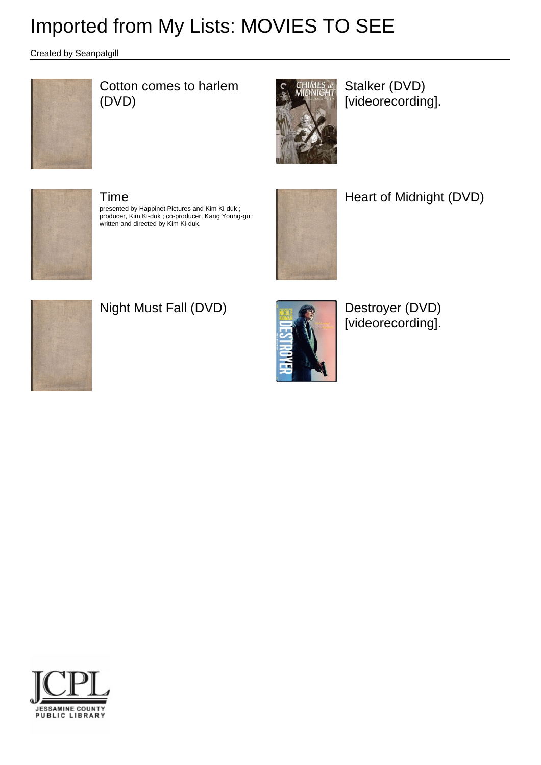Created by Seanpatgill



### Cotton comes to harlem (DVD)



Stalker (DVD) [videorecording].



#### Time

presented by Happinet Pictures and Kim Ki-duk ; producer, Kim Ki-duk ; co-producer, Kang Young-gu ; written and directed by Kim Ki-duk.



Heart of Midnight (DVD)



## Night Must Fall (DVD) **Destroyer (DVD)**



[videorecording].

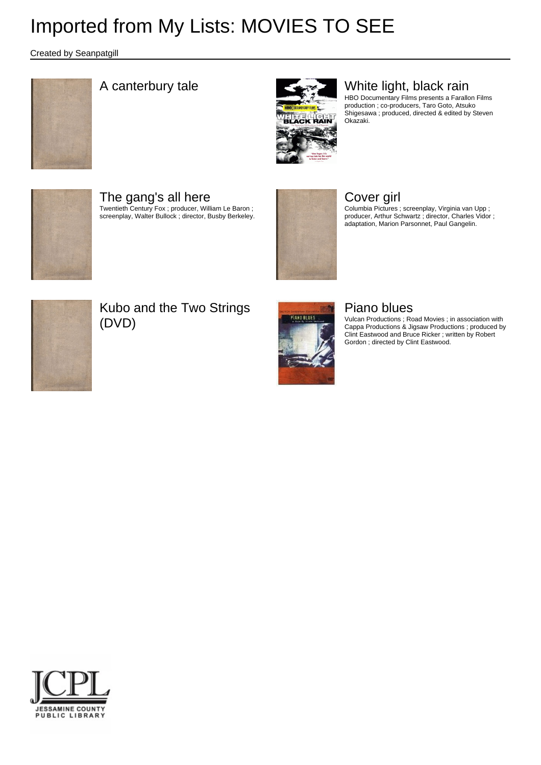Created by Seanpatgill





### A canterbury tale White light, black rain

HBO Documentary Films presents a Farallon Films production ; co-producers, Taro Goto, Atsuko Shigesawa ; produced, directed & edited by Steven Okazaki.



The gang's all here Twentieth Century Fox ; producer, William Le Baron ; screenplay, Walter Bullock ; director, Busby Berkeley.



#### Cover girl

Columbia Pictures ; screenplay, Virginia van Upp ; producer, Arthur Schwartz ; director, Charles Vidor ; adaptation, Marion Parsonnet, Paul Gangelin.



Kubo and the Two Strings (DVD)



#### Piano blues

Vulcan Productions ; Road Movies ; in association with Cappa Productions & Jigsaw Productions ; produced by Clint Eastwood and Bruce Ricker ; written by Robert Gordon ; directed by Clint Eastwood.

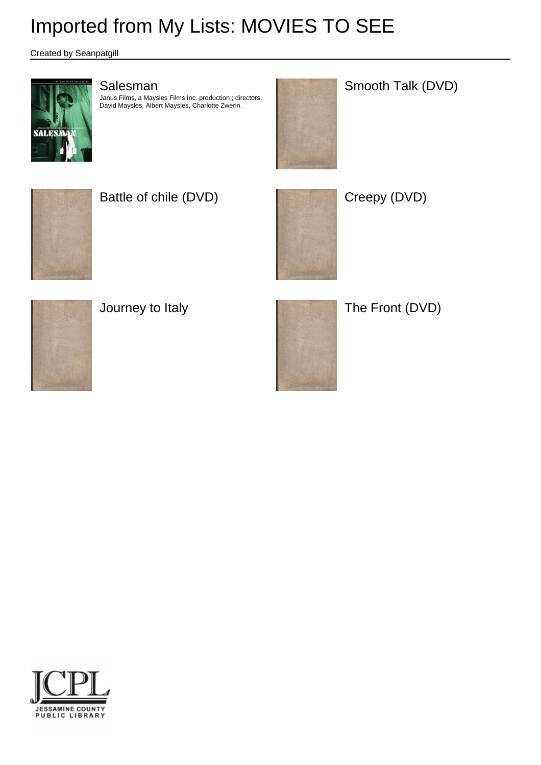Created by Seanpatgill



#### Salesman

Janus Films, a Maysles Films Inc. production ; directors, David Maysles, Albert Maysles, Charlotte Zwerin.



Smooth Talk (DVD)



Battle of chile (DVD) and the Creepy (DVD)











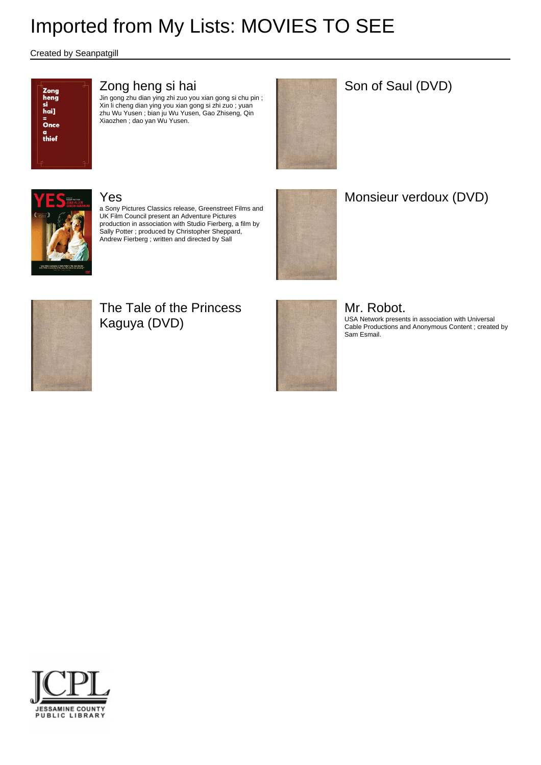Created by Seanpatgill



#### Zong heng si hai

Jin gong zhu dian ying zhi zuo you xian gong si chu pin ; Xin li cheng dian ying you xian gong si zhi zuo ; yuan zhu Wu Yusen ; bian ju Wu Yusen, Gao Zhiseng, Qin Xiaozhen ; dao yan Wu Yusen.



#### Son of Saul (DVD)



#### Yes

a Sony Pictures Classics release, Greenstreet Films and UK Film Council present an Adventure Pictures production in association with Studio Fierberg, a film by Sally Potter ; produced by Christopher Sheppard, Andrew Fierberg ; written and directed by Sall



## Monsieur verdoux (DVD)



### The Tale of the Princess Kaguya (DVD)



## Mr. Robot.

USA Network presents in association with Universal Cable Productions and Anonymous Content ; created by Sam Esmail.

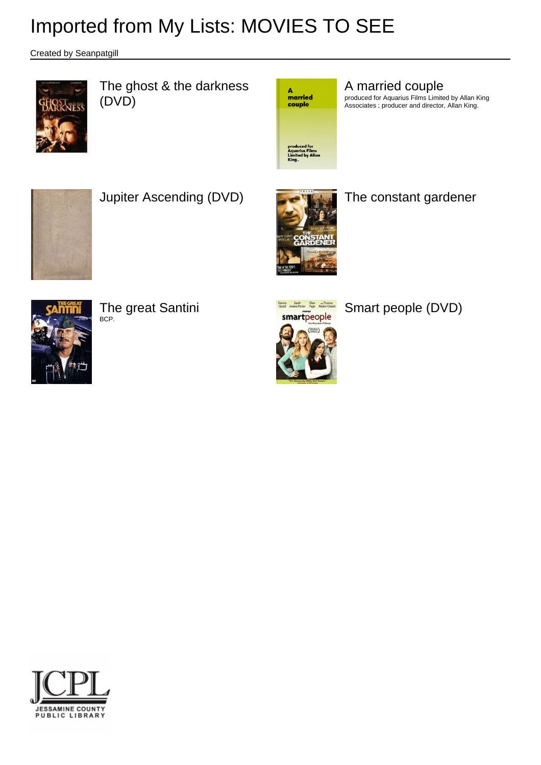Created by Seanpatgill



The ghost & the darkness (DVD)



A married couple

produced for Aquarius Films Limited by Allan King Associates ; producer and director, Allan King.



Jupiter Ascending (DVD) **The constant gardener** 





The great Santini

BCP.



Smart people (DVD)

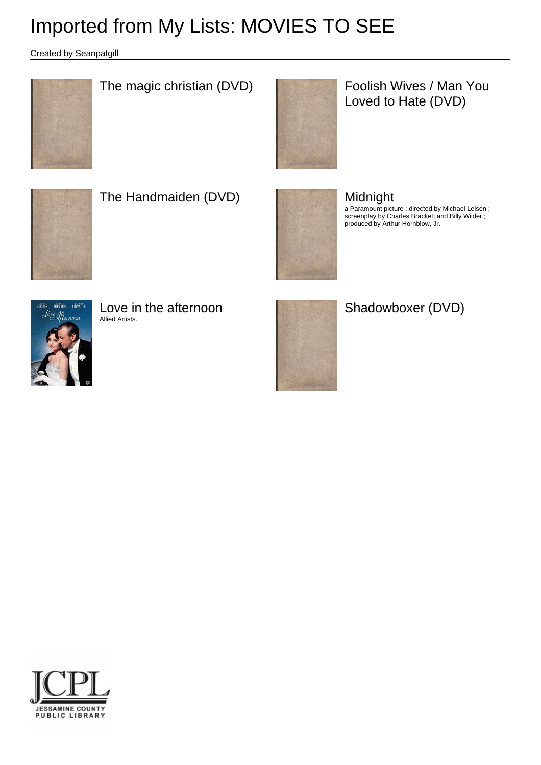Created by Seanpatgill



The magic christian (DVD) Foolish Wives / Man You



Loved to Hate (DVD)



The Handmaiden (DVD) **No. 1989** Midnight



a Paramount picture ; directed by Michael Leisen ; screenplay by Charles Brackett and Billy Wilder ; produced by Arthur Hornblow, Jr.



Love in the afternoon Allied Artists.





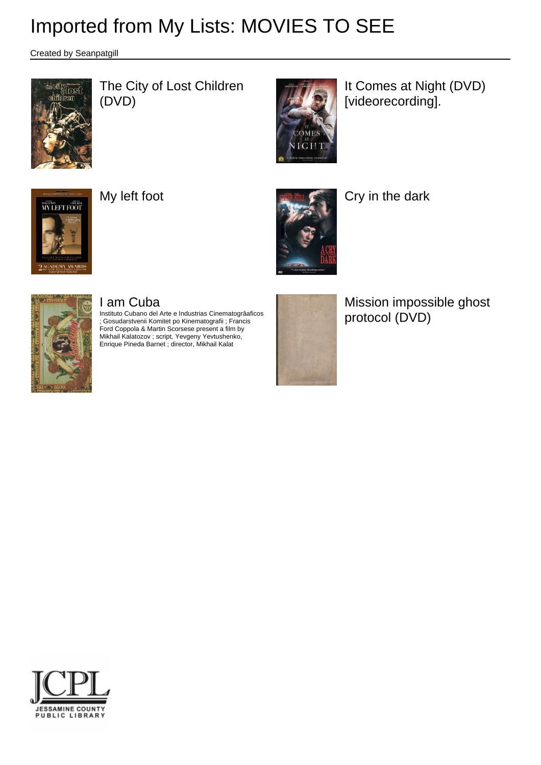Created by Seanpatgill



The City of Lost Children (DVD)



It Comes at Night (DVD) [videorecording].





My left foot **Cry** in the dark



### I am Cuba

Instituto Cubano del Arte e Industrias Cinematogrâaficos ; Gosudarstvenii Komitet po Kinematografii ; Francis Ford Coppola & Martin Scorsese present a film by Mikhail Kalatozov ; script, Yevgeny Yevtushenko, Enrique Pineda Barnet ; director, Mikhail Kalat



Mission impossible ghost protocol (DVD)

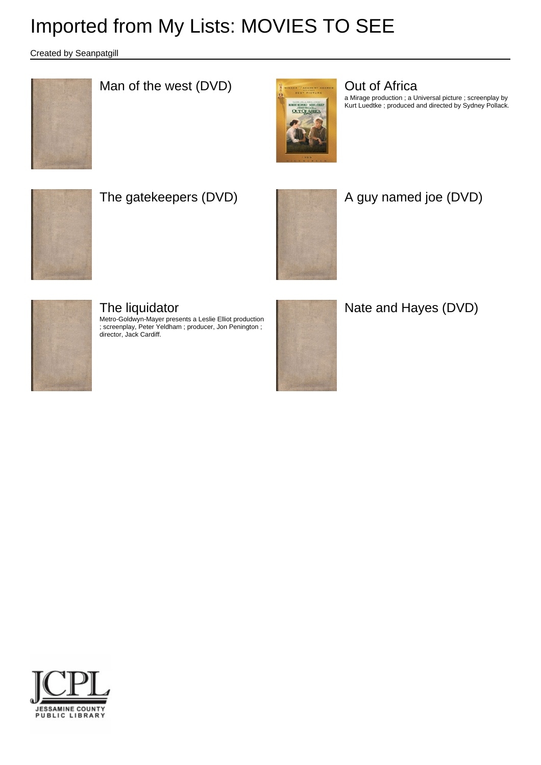Created by Seanpatgill



### Man of the west (DVD) **Contract COV COVER 1999** Out of Africa



a Mirage production ; a Universal picture ; screenplay by Kurt Luedtke ; produced and directed by Sydney Pollack.



### The gatekeepers (DVD) **A** guy named joe (DVD)





#### The liquidator

Metro-Goldwyn-Mayer presents a Leslie Elliot production ; screenplay, Peter Yeldham ; producer, Jon Penington ; director, Jack Cardiff.



Nate and Hayes (DVD)